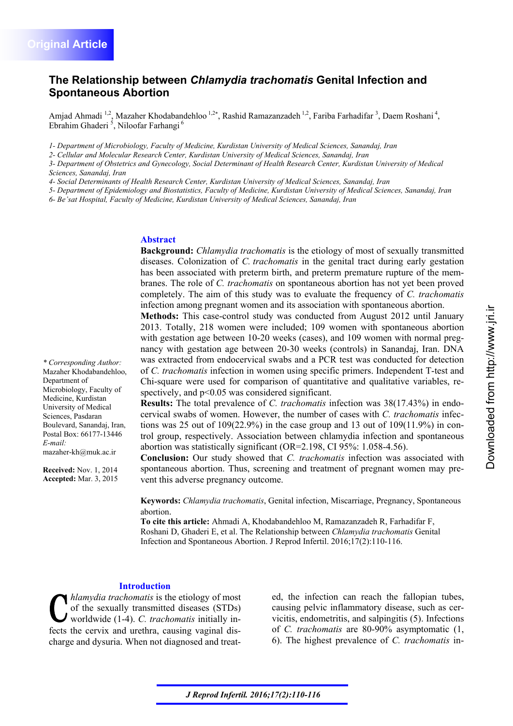*\* Corresponding Author:*  Mazaher Khodabandehloo,

Microbiology, Faculty of Medicine, Kurdistan University of Medical Sciences, Pasdaran Boulevard, Sanandaj, Iran, Postal Box: 66177-13446

mazaher-kh@muk.ac.ir

**Received:** Nov. 1, 2014 **Accepted:** Mar. 3, 2015

Department of

*E-mail:* 

# **The Relationship between** *Chlamydia trachomatis* **Genital Infection and Spontaneous Abortion**

Amjad Ahmadi <sup>1,2</sup>, Mazaher Khodabandehloo <sup>1,2\*</sup>, Rashid Ramazanzadeh <sup>1,2</sup>, Fariba Farhadifar <sup>3</sup>, Daem Roshani <sup>4</sup>, Ebrahim Ghaderi<sup>5</sup>, Niloofar Farhangi<sup>6</sup>

*1- Department of Microbiology, Faculty of Medicine, Kurdistan University of Medical Sciences, Sanandaj, Iran* 

*2- Cellular and Molecular Research Center, Kurdistan University of Medical Sciences, Sanandaj, Iran* 

*3- Department of Obstetrics and Gynecology, Social Determinant of Health Research Center, Kurdistan University of Medical Sciences, Sanandaj, Iran* 

*4- Social Determinants of Health Research Center, Kurdistan University of Medical Sciences, Sanandaj, Iran* 

*5- Department of Epidemiology and Biostatistics, Faculty of Medicine, Kurdistan University of Medical Sciences, Sanandaj, Iran* 

*6- Be'sat Hospital, Faculty of Medicine, Kurdistan University of Medical Sciences, Sanandaj, Iran* 

### **Abstract**

**Background:** *Chlamydia trachomatis* is the etiology of most of sexually transmitted diseases. Colonization of *C. trachomatis* in the genital tract during early gestation has been associated with preterm birth, and preterm premature rupture of the membranes. The role of *C. trachomatis* on spontaneous abortion has not yet been proved completely. The aim of this study was to evaluate the frequency of *C. trachomatis* infection among pregnant women and its association with spontaneous abortion.

**Methods:** This case-control study was conducted from August 2012 until January 2013. Totally, 218 women were included; 109 women with spontaneous abortion with gestation age between 10-20 weeks (cases), and 109 women with normal pregnancy with gestation age between 20-30 weeks (controls) in Sanandaj, Iran. DNA was extracted from endocervical swabs and a PCR test was conducted for detection of *C. trachomatis* infection in women using specific primers. Independent T-test and Chi-square were used for comparison of quantitative and qualitative variables, respectively, and  $p<0.05$  was considered significant.

**Results:** The total prevalence of *C. trachomatis* infection was 38(17.43%) in endocervical swabs of women. However, the number of cases with *C. trachomatis* infections was 25 out of  $109(22.9%)$  in the case group and 13 out of  $109(11.9%)$  in control group, respectively. Association between chlamydia infection and spontaneous abortion was statistically significant (OR=2.198, CI 95%: 1.058-4.56).

**Conclusion:** Our study showed that *C. trachomatis* infection was associated with spontaneous abortion. Thus, screening and treatment of pregnant women may prevent this adverse pregnancy outcome.

**Keywords:** *Chlamydia trachomatis*, Genital infection, Miscarriage, Pregnancy, Spontaneous abortion.

**To cite this article:** Ahmadi A, Khodabandehloo M, Ramazanzadeh R, Farhadifar F, Roshani D, Ghaderi E, et al. The Relationship between *Chlamydia trachomatis* Genital Infection and Spontaneous Abortion. J Reprod Infertil. 2016;17(2):110-116.

#### **Introduction**

*hlamydia trachomatis* is the etiology of most of the sexually transmitted diseases (STDs) worldwide (1-4). *C. trachomatis* initially infects the cervix and urethra, causing vaginal discharge and dysuria. When not diagnosed and treated, the infection can reach the fallopian tubes, causing pelvic inflammatory disease, such as cervicitis, endometritis, and salpingitis (5). Infections of *C. trachomatis* are 80-90% asymptomatic (1, 6). The highest prevalence of *C. trachomatis* in-

*J Reprod Infertil. 2016;17(2):110-116*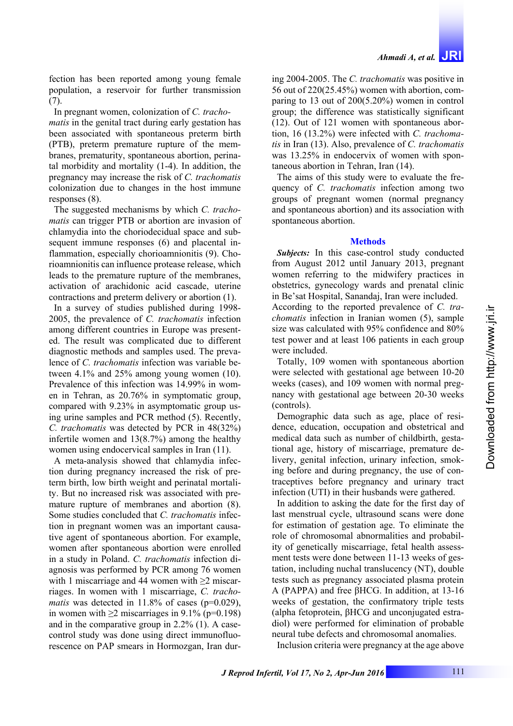fection has been reported among young female population, a reservoir for further transmission (7).

In pregnant women, colonization of *C. trachomatis* in the genital tract during early gestation has been associated with spontaneous preterm birth (PTB), preterm premature rupture of the membranes, prematurity, spontaneous abortion, perinatal morbidity and mortality (1-4). In addition, the pregnancy may increase the risk of *C. trachomatis* colonization due to changes in the host immune responses (8).

The suggested mechanisms by which *C. trachomatis* can trigger PTB or abortion are invasion of chlamydia into the choriodecidual space and subsequent immune responses (6) and placental inflammation, especially chorioamnionitis (9). Chorioamnionitis can influence protease release, which leads to the premature rupture of the membranes, activation of arachidonic acid cascade, uterine contractions and preterm delivery or abortion (1).

In a survey of studies published during 1998- 2005, the prevalence of *C. trachomatis* infection among different countries in Europe was presented. The result was complicated due to different diagnostic methods and samples used. The prevalence of *C. trachomatis* infection was variable between 4.1% and 25% among young women (10). Prevalence of this infection was 14.99% in women in Tehran, as 20.76% in symptomatic group, compared with 9.23% in asymptomatic group using urine samples and PCR method (5). Recently, *C. trachomatis* was detected by PCR in 48(32%) infertile women and 13(8.7%) among the healthy women using endocervical samples in Iran (11).

A meta-analysis showed that chlamydia infection during pregnancy increased the risk of preterm birth, low birth weight and perinatal mortality. But no increased risk was associated with premature rupture of membranes and abortion (8). Some studies concluded that *C. trachomatis* infection in pregnant women was an important causative agent of spontaneous abortion. For example, women after spontaneous abortion were enrolled in a study in Poland. *C. trachomatis* infection diagnosis was performed by PCR among 76 women with 1 miscarriage and 44 women with  $\geq 2$  miscarriages. In women with 1 miscarriage, *C. trachomatis* was detected in  $11.8\%$  of cases ( $p=0.029$ ), in women with  $≥2$  miscarriages in 9.1% (p=0.198) and in the comparative group in 2.2% (1). A casecontrol study was done using direct immunofluorescence on PAP smears in Hormozgan, Iran during 2004-2005. The *C. trachomatis* was positive in 56 out of 220(25.45%) women with abortion, comparing to 13 out of 200(5.20%) women in control group; the difference was statistically significant (12). Out of 121 women with spontaneous abortion, 16 (13.2%) were infected with *C. trachomatis* in Iran (13). Also, prevalence of *C. trachomatis* was 13.25% in endocervix of women with spontaneous abortion in Tehran, Iran (14).

The aims of this study were to evaluate the frequency of *C. trachomatis* infection among two groups of pregnant women (normal pregnancy and spontaneous abortion) and its association with spontaneous abortion.

#### **Methods**

*Subjects:* In this case-control study conducted from August 2012 until January 2013, pregnant women referring to the midwifery practices in obstetrics, gynecology wards and prenatal clinic in Be'sat Hospital, Sanandaj, Iran were included.

According to the reported prevalence of *C. trachomatis* infection in Iranian women (5), sample size was calculated with 95% confidence and 80% test power and at least 106 patients in each group were included.

Totally, 109 women with spontaneous abortion were selected with gestational age between 10-20 weeks (cases), and 109 women with normal pregnancy with gestational age between 20-30 weeks (controls).

Demographic data such as age, place of residence, education, occupation and obstetrical and medical data such as number of childbirth, gestational age, history of miscarriage, premature delivery, genital infection, urinary infection, smoking before and during pregnancy, the use of contraceptives before pregnancy and urinary tract infection (UTI) in their husbands were gathered.

In addition to asking the date for the first day of last menstrual cycle, ultrasound scans were done for estimation of gestation age. To eliminate the role of chromosomal abnormalities and probability of genetically miscarriage, fetal health assessment tests were done between 11-13 weeks of gestation, including nuchal translucency (NT), double tests such as pregnancy associated plasma protein A (PAPPA) and free βHCG. In addition, at 13-16 weeks of gestation, the confirmatory triple tests (alpha fetoprotein, βHCG and unconjugated estradiol) were performed for elimination of probable neural tube defects and chromosomal anomalies.

Inclusion criteria were pregnancy at the age above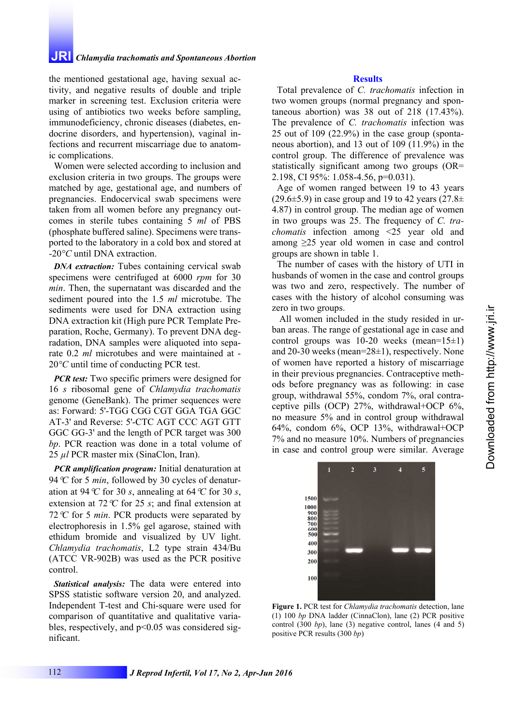# **JRI** *Chlamydia trachomatis and Spontaneous Abortion*

the mentioned gestational age, having sexual activity, and negative results of double and triple marker in screening test. Exclusion criteria were using of antibiotics two weeks before sampling, immunodeficiency, chronic diseases (diabetes, endocrine disorders, and hypertension), vaginal infections and recurrent miscarriage due to anatomic complications.

Women were selected according to inclusion and exclusion criteria in two groups. The groups were matched by age, gestational age, and numbers of pregnancies. Endocervical swab specimens were taken from all women before any pregnancy outcomes in sterile tubes containing 5 *ml* of PBS (phosphate buffered saline). Specimens were transported to the laboratory in a cold box and stored at -20*°C* until DNA extraction.

*DNA extraction:* Tubes containing cervical swab specimens were centrifuged at 6000 *rpm* for 30 *min*. Then, the supernatant was discarded and the sediment poured into the 1.5 *ml* microtube. The sediments were used for DNA extraction using DNA extraction kit (High pure PCR Template Preparation, Roche, Germany). To prevent DNA degradation, DNA samples were aliquoted into separate 0.2 *ml* microtubes and were maintained at - 20*°C* until time of conducting PCR test.

*PCR test:* Two specific primers were designed for 16 *s* ribosomal gene of *Chlamydia trachomatis* genome (GeneBank). The primer sequences were as: Forward: 5'-TGG CGG CGT GGA TGA GGC AT-3' and Reverse: 5'-CTC AGT CCC AGT GTT GGC GG-3' and the length of PCR target was 300 *bp*. PCR reaction was done in a total volume of 25 *µl* PCR master mix (SinaClon, Iran).

*PCR amplification program:* Initial denaturation at 94*C* for 5 *min*, followed by 30 cycles of denaturation at 94 °C for 30 *s*, annealing at 64 °C for 30 *s*, extension at 72*C* for 25 *s*; and final extension at 72*C* for 5 *min*. PCR products were separated by electrophoresis in 1.5% gel agarose, stained with ethidum bromide and visualized by UV light. *Chlamydia trachomatis*, L2 type strain 434/Bu (ATCC VR-902B) was used as the PCR positive control.

*Statistical analysis:* The data were entered into SPSS statistic software version 20, and analyzed. Independent T-test and Chi-square were used for comparison of quantitative and qualitative variables, respectively, and p<0.05 was considered significant.

### **Results**

Total prevalence of *C. trachomatis* infection in two women groups (normal pregnancy and spontaneous abortion) was 38 out of 218 (17.43%). The prevalence of *C. trachomatis* infection was 25 out of 109 (22.9%) in the case group (spontaneous abortion), and 13 out of 109 (11.9%) in the control group. The difference of prevalence was statistically significant among two groups (OR= 2.198, CI 95%: 1.058-4.56, p=0.031).

Age of women ranged between 19 to 43 years  $(29.6\pm5.9)$  in case group and 19 to 42 years  $(27.8\pm$ 4.87) in control group. The median age of women in two groups was 25. The frequency of *C. trachomatis* infection among <25 year old and among ≥25 year old women in case and control groups are shown in table 1.

The number of cases with the history of UTI in husbands of women in the case and control groups was two and zero, respectively. The number of cases with the history of alcohol consuming was zero in two groups.

 All women included in the study resided in urban areas. The range of gestational age in case and control groups was  $10-20$  weeks (mean= $15\pm1$ ) and 20-30 weeks (mean=28±1), respectively. None of women have reported a history of miscarriage in their previous pregnancies. Contraceptive methods before pregnancy was as following: in case group, withdrawal 55%, condom 7%, oral contraceptive pills (OCP) 27%, withdrawal+OCP 6%, no measure 5% and in control group withdrawal 64%, condom 6%, OCP 13%, withdrawal+OCP 7% and no measure 10%. Numbers of pregnancies in case and control group were similar. Average



**Figure 1.** PCR test for *Chlamydia trachomatis* detection, lane (1) 100 *bp* DNA ladder (CinnaClon), lane (2) PCR positive control (300 *bp*), lane (3) negative control, lanes (4 and 5) positive PCR results (300 *bp*)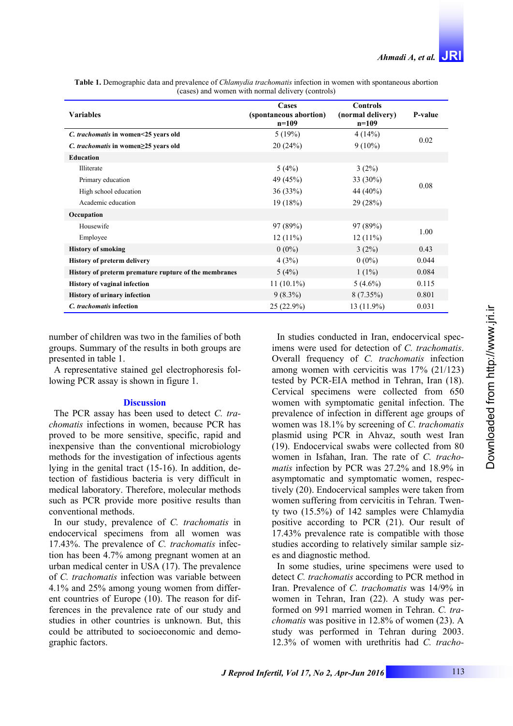| <b>Variables</b>                                      | Cases<br>(spontaneous abortion)<br>$n=109$ | <b>Controls</b><br>(normal delivery)<br>$n=109$ | P-value |
|-------------------------------------------------------|--------------------------------------------|-------------------------------------------------|---------|
| C. trachomatis in women<25 years old                  | 5(19%)                                     | 4(14%)                                          | 0.02    |
| C. trachomatis in women $\geq$ 25 years old           | 20(24%)                                    | $9(10\%)$                                       |         |
| <b>Education</b>                                      |                                            |                                                 |         |
| Illiterate                                            | 5(4%)                                      | 3(2%)                                           | 0.08    |
| Primary education                                     | 49 (45%)                                   | 33 (30%)                                        |         |
| High school education                                 | 36(33%)                                    | 44 (40%)                                        |         |
| Academic education                                    | 19(18%)                                    | 29(28%)                                         |         |
| Occupation                                            |                                            |                                                 |         |
| Housewife                                             | 97 (89%)                                   | 97 (89%)                                        | 1.00    |
| Employee                                              | $12(11\%)$                                 | $12(11\%)$                                      |         |
| <b>History of smoking</b>                             | $0(0\%)$                                   | 3(2%)                                           | 0.43    |
| <b>History of preterm delivery</b>                    | 4(3%)                                      | $0(0\%)$                                        | 0.044   |
| History of preterm premature rupture of the membranes | 5(4%)                                      | $1(1\%)$                                        | 0.084   |
| <b>History of vaginal infection</b>                   | $11(10.1\%)$                               | $5(4.6\%)$                                      | 0.115   |
| <b>History of urinary infection</b>                   | $9(8.3\%)$                                 | $8(7.35\%)$                                     | 0.801   |
| C. trachomatis infection                              | $25(22.9\%)$                               | $13(11.9\%)$                                    | 0.031   |

**Table 1.** Demographic data and prevalence of *Chlamydia trachomatis* infection in women with spontaneous abortion (cases) and women with normal delivery (controls)

number of children was two in the families of both groups. Summary of the results in both groups are presented in table 1.

A representative stained gel electrophoresis following PCR assay is shown in figure 1.

### **Discussion**

The PCR assay has been used to detect *C. trachomatis* infections in women, because PCR has proved to be more sensitive, specific, rapid and inexpensive than the conventional microbiology methods for the investigation of infectious agents lying in the genital tract (15-16). In addition, detection of fastidious bacteria is very difficult in medical laboratory. Therefore, molecular methods such as PCR provide more positive results than conventional methods.

In our study, prevalence of *C. trachomatis* in endocervical specimens from all women was 17.43%. The prevalence of *C. trachomatis* infection has been 4.7% among pregnant women at an urban medical center in USA (17). The prevalence of *C. trachomatis* infection was variable between 4.1% and 25% among young women from different countries of Europe (10). The reason for differences in the prevalence rate of our study and studies in other countries is unknown. But, this could be attributed to socioeconomic and demographic factors.

In studies conducted in Iran, endocervical specimens were used for detection of *C. trachomatis*. Overall frequency of *C. trachomatis* infection among women with cervicitis was 17% (21/123) tested by PCR-EIA method in Tehran, Iran (18). Cervical specimens were collected from 650 women with symptomatic genital infection. The prevalence of infection in different age groups of women was 18.1% by screening of *C. trachomatis* plasmid using PCR in Ahvaz, south west Iran (19). Endocervical swabs were collected from 80 women in Isfahan, Iran. The rate of *C. trachomatis* infection by PCR was 27.2% and 18.9% in asymptomatic and symptomatic women, respectively (20). Endocervical samples were taken from women suffering from cervicitis in Tehran. Twenty two (15.5%) of 142 samples were Chlamydia positive according to PCR (21). Our result of 17.43% prevalence rate is compatible with those studies according to relatively similar sample sizes and diagnostic method.

In some studies, urine specimens were used to detect *C. trachomatis* according to PCR method in Iran. Prevalence of *C. trachomatis* was 14/9% in women in Tehran, Iran (22). A study was performed on 991 married women in Tehran. *C. trachomatis* was positive in 12.8% of women (23). A study was performed in Tehran during 2003. 12.3% of women with urethritis had *C. tracho-*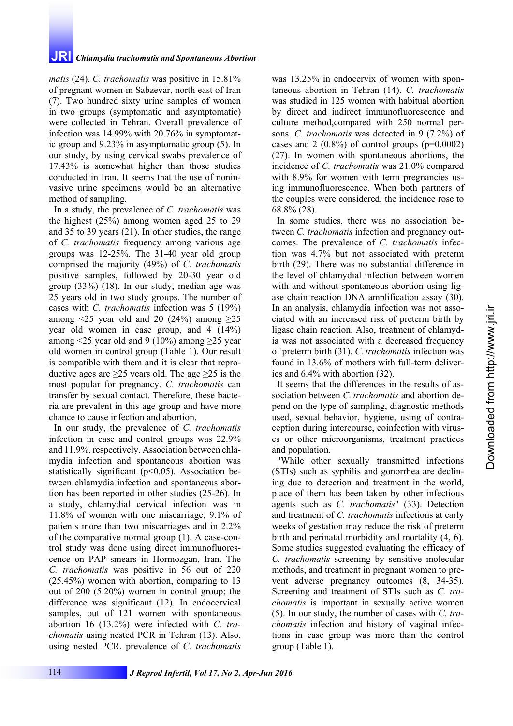# **JRI** *Chlamydia trachomatis and Spontaneous Abortion*

*matis* (24). *C. trachomatis* was positive in 15.81% of pregnant women in Sabzevar, north east of Iran (7). Two hundred sixty urine samples of women in two groups (symptomatic and asymptomatic) were collected in Tehran. Overall prevalence of infection was 14.99% with 20.76% in symptomatic group and 9.23% in asymptomatic group (5). In our study, by using cervical swabs prevalence of 17.43% is somewhat higher than those studies conducted in Iran. It seems that the use of noninvasive urine specimens would be an alternative method of sampling.

In a study, the prevalence of *C. trachomatis* was the highest (25%) among women aged 25 to 29 and 35 to 39 years (21). In other studies, the range of *C. trachomatis* frequency among various age groups was 12-25%. The 31-40 year old group comprised the majority (49%) of *C. trachomatis* positive samples, followed by 20-30 year old group (33%) (18). In our study, median age was 25 years old in two study groups. The number of cases with *C. trachomatis* infection was 5 (19%) among  $\leq$ 25 year old and 20 (24%) among  $\geq$ 25 year old women in case group, and 4 (14%) among <25 year old and 9 (10%) among  $\geq$ 25 year old women in control group (Table 1). Our result is compatible with them and it is clear that reproductive ages are  $\geq$ 25 years old. The age  $\geq$ 25 is the most popular for pregnancy. *C. trachomatis* can transfer by sexual contact. Therefore, these bacteria are prevalent in this age group and have more chance to cause infection and abortion.

In our study, the prevalence of *C. trachomatis* infection in case and control groups was 22.9% and 11.9%, respectively. Association between chlamydia infection and spontaneous abortion was statistically significant ( $p<0.05$ ). Association between chlamydia infection and spontaneous abortion has been reported in other studies (25-26). In a study, chlamydial cervical infection was in 11.8% of women with one miscarriage, 9.1% of patients more than two miscarriages and in 2.2% of the comparative normal group (1). A case-control study was done using direct immunofluorescence on PAP smears in Hormozgan, Iran. The *C. trachomatis* was positive in 56 out of 220 (25.45%) women with abortion, comparing to 13 out of 200 (5.20%) women in control group; the difference was significant (12). In endocervical samples, out of 121 women with spontaneous abortion 16 (13.2%) were infected with *C. trachomatis* using nested PCR in Tehran (13). Also, using nested PCR, prevalence of *C. trachomatis*

was 13.25% in endocervix of women with spontaneous abortion in Tehran (14). *C. trachomatis* was studied in 125 women with habitual abortion by direct and indirect immunofluorescence and culture method,compared with 250 normal persons. *C. trachomatis* was detected in 9 (7.2%) of cases and 2  $(0.8\%)$  of control groups (p=0.0002) (27). In women with spontaneous abortions, the incidence of *C. trachomatis* was 21.0% compared with 8.9% for women with term pregnancies using immunofluorescence. When both partners of the couples were considered, the incidence rose to 68.8% (28).

In some studies, there was no association between *C. trachomatis* infection and pregnancy outcomes. The prevalence of *C. trachomatis* infection was 4.7% but not associated with preterm birth (29). There was no substantial difference in the level of chlamydial infection between women with and without spontaneous abortion using ligase chain reaction DNA amplification assay (30). In an analysis, chlamydia infection was not associated with an increased risk of preterm birth by ligase chain reaction. Also, treatment of chlamydia was not associated with a decreased frequency of preterm birth (31). *C. trachomatis* infection was found in 13.6% of mothers with full-term deliveries and 6.4% with abortion (32).

It seems that the differences in the results of association between *C. trachomatis* and abortion depend on the type of sampling, diagnostic methods used, sexual behavior, hygiene, using of contraception during intercourse, coinfection with viruses or other microorganisms, treatment practices and population.

"While other sexually transmitted infections (STIs) such as syphilis and gonorrhea are declining due to detection and treatment in the world, place of them has been taken by other infectious agents such as *C. trachomatis*" (33). Detection and treatment of *C. trachomatis* infections at early weeks of gestation may reduce the risk of preterm birth and perinatal morbidity and mortality (4, 6). Some studies suggested evaluating the efficacy of *C. trachomatis* screening by sensitive molecular methods, and treatment in pregnant women to prevent adverse pregnancy outcomes (8, 34-35). Screening and treatment of STIs such as *C. trachomatis* is important in sexually active women (5). In our study, the number of cases with *C. trachomatis* infection and history of vaginal infections in case group was more than the control group (Table 1).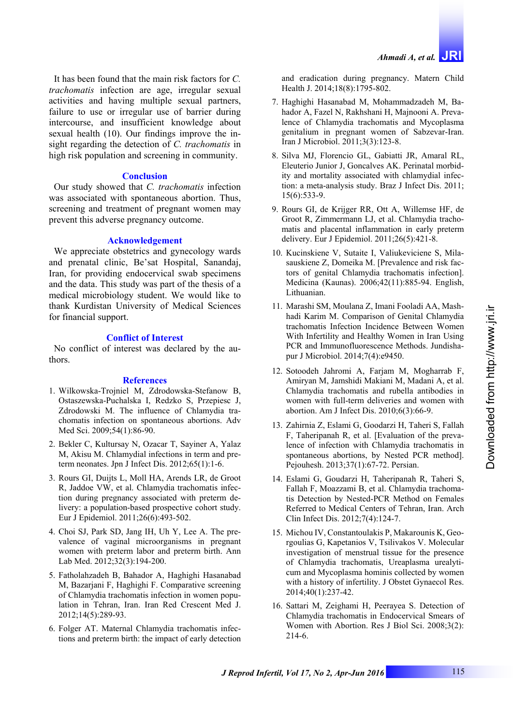It has been found that the main risk factors for *C. trachomatis* infection are age, irregular sexual activities and having multiple sexual partners, failure to use or irregular use of barrier during intercourse, and insufficient knowledge about sexual health (10). Our findings improve the insight regarding the detection of *C. trachomatis* in high risk population and screening in community.

### **Conclusion**

Our study showed that *C. trachomatis* infection was associated with spontaneous abortion. Thus, screening and treatment of pregnant women may prevent this adverse pregnancy outcome.

## **Acknowledgement**

We appreciate obstetrics and gynecology wards and prenatal clinic, Be'sat Hospital, Sanandaj, Iran, for providing endocervical swab specimens and the data. This study was part of the thesis of a medical microbiology student. We would like to thank Kurdistan University of Medical Sciences for financial support.

## **Conflict of Interest**

No conflict of interest was declared by the authors.

## **References**

- 1. Wilkowska-Trojniel M, Zdrodowska-Stefanow B, Ostaszewska-Puchalska I, Redzko S, Przepiesc J, Zdrodowski M. The influence of Chlamydia trachomatis infection on spontaneous abortions. Adv Med Sci. 2009;54(1):86-90.
- 2. Bekler C, Kultursay N, Ozacar T, Sayiner A, Yalaz M, Akisu M. Chlamydial infections in term and preterm neonates. Jpn J Infect Dis. 2012;65(1):1-6.
- 3. Rours GI, Duijts L, Moll HA, Arends LR, de Groot R, Jaddoe VW, et al. Chlamydia trachomatis infection during pregnancy associated with preterm delivery: a population-based prospective cohort study. Eur J Epidemiol. 2011;26(6):493-502.
- 4. Choi SJ, Park SD, Jang IH, Uh Y, Lee A. The prevalence of vaginal microorganisms in pregnant women with preterm labor and preterm birth. Ann Lab Med. 2012;32(3):194-200.
- 5. Fatholahzadeh B, Bahador A, Haghighi Hasanabad M, Bazarjani F, Haghighi F. Comparative screening of Chlamydia trachomatis infection in women population in Tehran, Iran. Iran Red Crescent Med J. 2012;14(5):289-93.
- 6. Folger AT. Maternal Chlamydia trachomatis infections and preterm birth: the impact of early detection

and eradication during pregnancy. Matern Child Health J. 2014;18(8):1795-802.

- 7. Haghighi Hasanabad M, Mohammadzadeh M, Bahador A, Fazel N, Rakhshani H, Majnooni A. Prevalence of Chlamydia trachomatis and Mycoplasma genitalium in pregnant women of Sabzevar-Iran. Iran J Microbiol. 2011;3(3):123-8.
- 8. Silva MJ, Florencio GL, Gabiatti JR, Amaral RL, Eleuterio Junior J, Goncalves AK. Perinatal morbidity and mortality associated with chlamydial infection: a meta-analysis study. Braz J Infect Dis. 2011; 15(6):533-9.
- 9. Rours GI, de Krijger RR, Ott A, Willemse HF, de Groot R, Zimmermann LJ, et al. Chlamydia trachomatis and placental inflammation in early preterm delivery. Eur J Epidemiol. 2011;26(5):421-8.
- 10. Kucinskiene V, Sutaite I, Valiukeviciene S, Milasauskiene Z, Domeika M. [Prevalence and risk factors of genital Chlamydia trachomatis infection]. Medicina (Kaunas). 2006;42(11):885-94. English, Lithuanian.
- 11. Marashi SM, Moulana Z, Imani Fooladi AA, Mashhadi Karim M. Comparison of Genital Chlamydia trachomatis Infection Incidence Between Women With Infertility and Healthy Women in Iran Using PCR and Immunofluorescence Methods. Jundishapur J Microbiol. 2014;7(4):e9450.
- 12. Sotoodeh Jahromi A, Farjam M, Mogharrab F, Amiryan M, Jamshidi Makiani M, Madani A, et al. Chlamydia trachomatis and rubella antibodies in women with full-term deliveries and women with abortion. Am J Infect Dis. 2010;6(3):66-9.
- 13. Zahirnia Z, Eslami G, Goodarzi H, Taheri S, Fallah F, Taheripanah R, et al. [Evaluation of the prevalence of infection with Chlamydia trachomatis in spontaneous abortions, by Nested PCR method]. Pejouhesh. 2013;37(1):67-72. Persian.
- 14. Eslami G, Goudarzi H, Taheripanah R, Taheri S, Fallah F, Moazzami B, et al. Chlamydia trachomatis Detection by Nested-PCR Method on Females Referred to Medical Centers of Tehran, Iran. Arch Clin Infect Dis. 2012;7(4):124-7.
- 15. Michou IV, Constantoulakis P, Makarounis K, Georgoulias G, Kapetanios V, Tsilivakos V. Molecular investigation of menstrual tissue for the presence of Chlamydia trachomatis, Ureaplasma urealyticum and Mycoplasma hominis collected by women with a history of infertility. J Obstet Gynaecol Res. 2014;40(1):237-42.
- 16. Sattari M, Zeighami H, Peerayea S. Detection of Chlamydia trachomatis in Endocervical Smears of Women with Abortion. Res J Biol Sci. 2008;3(2): 214-6.